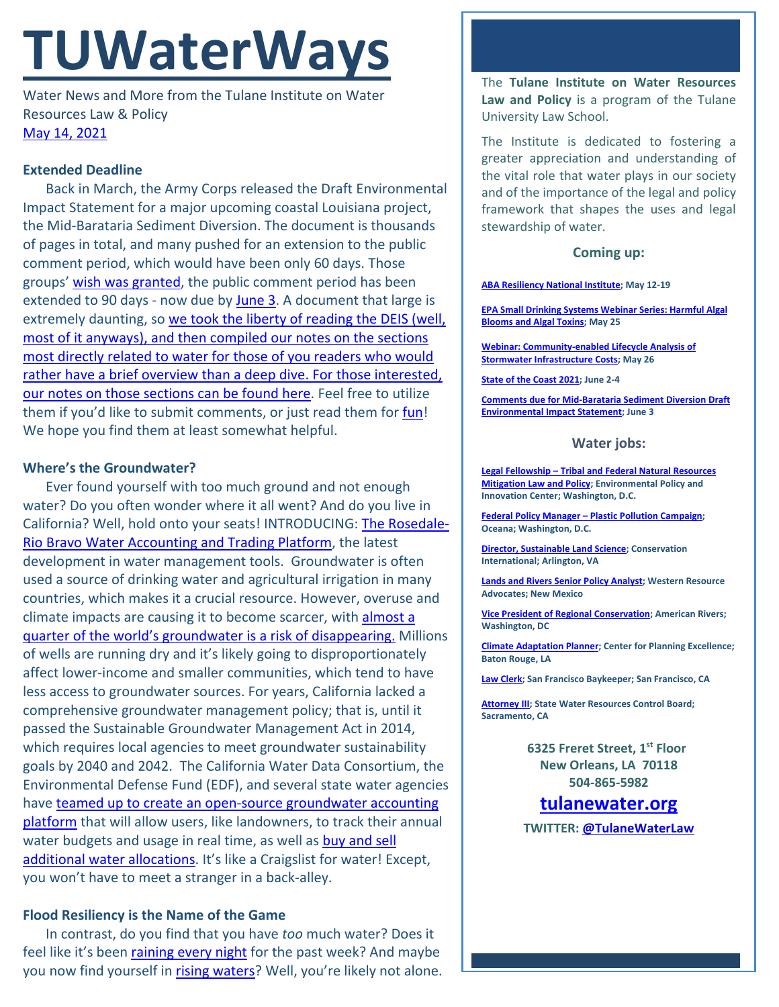# **TUWaterWays**

Water News and More from the Tulane Institute on Water Resources Law & Policy [May 14, 2021](https://thisdayinwaterhistory.wordpress.com/)

### **Extended Deadline**

Back in March, the Army Corps released the Draft Environmental Impact Statement for a major upcoming coastal Louisiana project, the Mid-Barataria Sediment Diversion. The document is thousands of pages in total, and many pushed for an extension to the public comment period, which would have been only 60 days. Those groups' [wish was granted,](https://static.wikia.nocookie.net/disney/images/9/92/Profile_-_Genie.jpeg/revision/latest?cb=20190312022310) the public comment period has been extended to 90 days - now due by [June 3.](https://parkplanning.nps.gov/document.cfm?parkID=534&projectID=100083&documentID=110454) A document that large is extremely daunting, so we took the liberty of reading the DEIS (well, [most of it anyways\), and then compiled our notes on the sections](https://a21005ea-f0f0-4cff-a527-7c658373c740.filesusr.com/ugd/32079b_ecdcfb143b354bcfb93468338ae49bca.pdf)  [most directly related to water for those of you readers who would](https://a21005ea-f0f0-4cff-a527-7c658373c740.filesusr.com/ugd/32079b_ecdcfb143b354bcfb93468338ae49bca.pdf)  [rather have a brief overview than a deep dive. For those interested,](https://a21005ea-f0f0-4cff-a527-7c658373c740.filesusr.com/ugd/32079b_ecdcfb143b354bcfb93468338ae49bca.pdf)  [our notes on those sections can be found here.](https://a21005ea-f0f0-4cff-a527-7c658373c740.filesusr.com/ugd/32079b_ecdcfb143b354bcfb93468338ae49bca.pdf) Feel free to utilize them if you'd like to submit comments, or just read them for [fun!](https://www.youtube.com/watch?v=5sSKH0iXWo8) We hope you find them at least somewhat helpful.

### **Where's the Groundwater?**

Ever found yourself with too much ground and not enough water? Do you often wonder where it all went? And do you live in California? Well, hold onto your seats! INTRODUCING: [The Rosedale-](https://edfmaps.maps.arcgis.com/apps/Cascade/index.html?appid=7af13444157741a2a090cf4262b44206)[Rio Bravo Water Accounting and Trading Platform,](https://edfmaps.maps.arcgis.com/apps/Cascade/index.html?appid=7af13444157741a2a090cf4262b44206) the latest development in water management tools. Groundwater is often used a source of drinking water and agricultural irrigation in many countries, which makes it a crucial resource. However, overuse and climate impacts are causing it to become scarcer, with [almost a](https://www.scientificamerican.com/article/millions-of-groundwater-wells-could-run-dry/)  guarter of the world's groundwater is a risk of disappearing. Millions of wells are running dry and it's likely going to disproportionately affect lower-income and smaller communities, which tend to have less access to groundwater sources. For years, California lacked a comprehensive groundwater management policy; that is, until it passed the Sustainable Groundwater Management Act in 2014, which requires local agencies to meet groundwater sustainability goals by 2040 and 2042. The California Water Data Consortium, the Environmental Defense Fund (EDF), and several state water agencies have [teamed up to create an open-source groundwater accounting](https://water.ca.gov/News/News-Releases/2021/May-21/Groundwater-Accounting-Platform-and-Data-Standards)  [platform](https://water.ca.gov/News/News-Releases/2021/May-21/Groundwater-Accounting-Platform-and-Data-Standards) that will allow users, like landowners, to track their annual water budgets and usage in real time, as well as buy and sell [additional water allocations.](https://a21005ea-f0f0-4cff-a527-7c658373c740.filesusr.com/ugd/32079b_65c9e528733243a29ecef16d3c22fb72.pdf) It's like a Craigslist for water! Except, you won't have to meet a stranger in a back-alley.

## **Flood Resiliency is the Name of the Game**

In contrast, do you find that you have *too* much water? Does it feel like it's been [raining every night](https://tenor.com/view/waiting-rain-david-tennant-gif-4828004) for the past week? And maybe you now find yourself in [rising waters?](https://open.spotify.com/playlist/1RAYS0TTni9vjzrlahSsXV?uri=spotify%3Auser%3A1227449038%3Aplaylist%3A1RAYS0TTni9vjzrlahSsXV) Well, you're likely not alone. The **Tulane Institute on Water Resources Law and Policy** is a program of the Tulane University Law School.

The Institute is dedicated to fostering a greater appreciation and understanding of the vital role that water plays in our society and of the importance of the legal and policy framework that shapes the uses and legal stewardship of water.

#### **Coming up:**

**[ABA Resiliency National Institute;](https://web.cvent.com/event/19c7f26e-fcab-47c9-acb1-3d7ad7216106/websitePage:645d57e4-75eb-4769-b2c0-f201a0bfc6ce) May 12-19**

**[EPA Small Drinking Systems Webinar Series: Harmful Algal](https://www.epa.gov/water-research/small-drinking-water-systems-webinar-series)  [Blooms and Algal Toxins;](https://www.epa.gov/water-research/small-drinking-water-systems-webinar-series) May 25**

**[Webinar: Community-enabled Lifecycle Analysis of](https://www.epa.gov/water-research/water-research-webinar-series)  [Stormwater Infrastructure Costs;](https://www.epa.gov/water-research/water-research-webinar-series) May 26**

**[State of the Coast 2021;](https://www.stateofthecoast.org/) June 2-4**

**[Comments due for Mid-Barataria Sediment Diversion Draft](https://parkplanning.nps.gov/document.cfm?parkID=534&projectID=100083&documentID=110454)  [Environmental Impact Statement;](https://parkplanning.nps.gov/document.cfm?parkID=534&projectID=100083&documentID=110454) June 3**

#### **Water jobs:**

**Legal Fellowship – [Tribal and Federal Natural Resources](http://policyinnovation.org/wp-content/uploads/Tribal-Mitigation-Policy-Fellow-Position-Description-1.pdf)  [Mitigation Law and Policy;](http://policyinnovation.org/wp-content/uploads/Tribal-Mitigation-Policy-Fellow-Position-Description-1.pdf) Environmental Policy and Innovation Center; Washington, D.C.**

**Federal Policy Manager – [Plastic Pollution Campaign;](https://usa.oceana.org/about-us/employment-opportunities/federal-policy-manager) Oceana; Washington, D.C.**

**[Director, Sustainable Land Science;](https://phh.tbe.taleo.net/phh04/ats/careers/v2/viewRequisition?org=CONSERVATION&cws=39&rid=1439) Conservation International; Arlington, VA**

**[Lands and Rivers Senior Policy Analyst;](https://westernresourceadvocates.org/careers/lands-rivers-sr-policy-analyst/) Western Resource Advocates; New Mexico**

**[Vice President of Regional Conservation;](https://americanrivers.bamboohr.com/jobs/view.php?id=74) American Rivers; Washington, DC**

**[Climate Adaptation Planner;](https://www.cpex.org/jobs) Center for Planning Excellence; Baton Rouge, LA**

**[Law Clerk;](https://baykeeper.org/about-baykeeper/jobs-and-internships#clerk) San Francisco Baykeeper; San Francisco, CA**

**[Attorney III;](https://www.calcareers.ca.gov/CalHrPublic/Jobs/JobPosting.aspx?JobControlId=233350) State Water Resources Control Board; Sacramento, CA**

> **6325 Freret Street, 1st Floor New Orleans, LA 70118 504-865-5982**

## **tulanewater.org**

**TWITTER: [@TulaneWaterLaw](http://www.twitter.com/TulaneWaterLaw)**